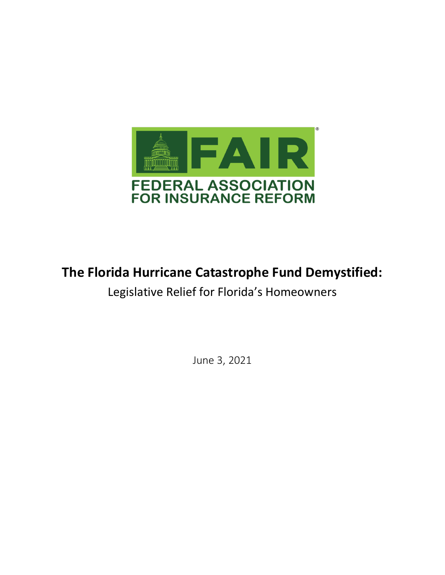

# **The Florida Hurricane Catastrophe Fund Demystified:**

Legislative Relief for Florida's Homeowners

June 3, 2021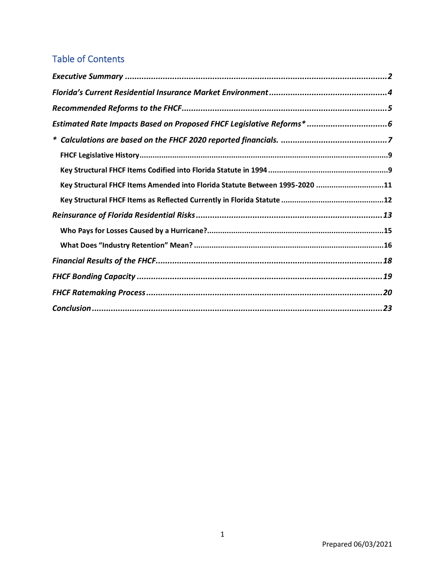| <b>Table of Contents</b>                                                    |
|-----------------------------------------------------------------------------|
|                                                                             |
|                                                                             |
|                                                                             |
| Estimated Rate Impacts Based on Proposed FHCF Legislative Reforms*  6       |
|                                                                             |
|                                                                             |
|                                                                             |
| Key Structural FHCF Items Amended into Florida Statute Between 1995-2020 11 |
|                                                                             |
|                                                                             |
|                                                                             |
|                                                                             |
|                                                                             |
|                                                                             |
|                                                                             |
|                                                                             |
|                                                                             |
|                                                                             |
|                                                                             |
|                                                                             |
|                                                                             |
|                                                                             |
|                                                                             |
|                                                                             |
|                                                                             |
|                                                                             |
|                                                                             |
|                                                                             |
|                                                                             |
|                                                                             |
| 1                                                                           |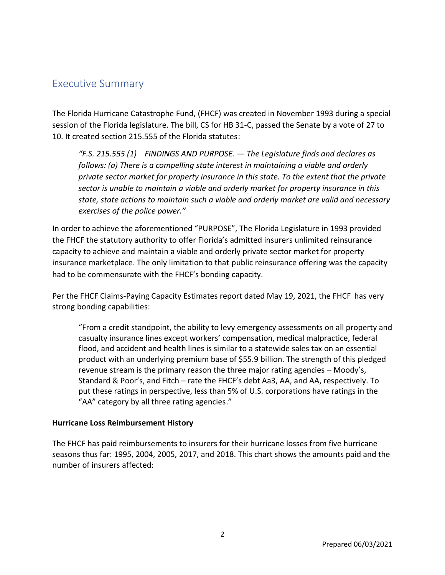The Florida Hurricane Catastrophe Fund, (FHCF) was created in November 1993 during a special session of the Florida legislature. The bill, CS for HB 31-C, passed the Senate by a vote of 27 to 10. It created section 215.555 of the Florida statutes:

*"F.S. 215.555 (1) FINDINGS AND PURPOSE. — The Legislature finds and declares as follows: (a) There is a compelling state interest in maintaining a viable and orderly private sector market for property insurance in this state. To the extent that the private sector is unable to maintain a viable and orderly market for property insurance in this state, state actions to maintain such a viable and orderly market are valid and necessary exercises of the police power."*

In order to achieve the aforementioned "PURPOSE", The Florida Legislature in 1993 provided the FHCF the statutory authority to offer Florida's admitted insurers unlimited reinsurance capacity to achieve and maintain a viable and orderly private sector market for property insurance marketplace. The only limitation to that public reinsurance offering was the capacity had to be commensurate with the FHCF's bonding capacity.

Per the FHCF Claims-Paying Capacity Estimates report dated May 19, 2021, the FHCF has very strong bonding capabilities:

<span id="page-2-0"></span>Executive Summary<br>
The Florida Hurricane Catastrophe Fund, (FHCF)<br>
session of the Florida legislature. The bill, CS for<br>
10. It created section 215.555 of the Florida stat<br>
"F.S. 215.555 (1) FINDINGS AND PURPO<br>
follows: (a "From a credit standpoint, the ability to levy emergency assessments on all property and casualty insurance lines except workers' compensation, medical malpractice, federal flood, and accident and health lines is similar to a statewide sales tax on an essential product with an underlying premium base of \$55.9 billion. The strength of this pledged revenue stream is the primary reason the three major rating agencies – Moody's, Standard & Poor's, and Fitch – rate the FHCF's debt Aa3, AA, and AA, respectively. To put these ratings in perspective, less than 5% of U.S. corporations have ratings in the "AA" category by all three rating agencies."

### **Hurricane Loss Reimbursement History**

The FHCF has paid reimbursements to insurers for their hurricane losses from five hurricane seasons thus far: 1995, 2004, 2005, 2017, and 2018. This chart shows the amounts paid and the number of insurers affected: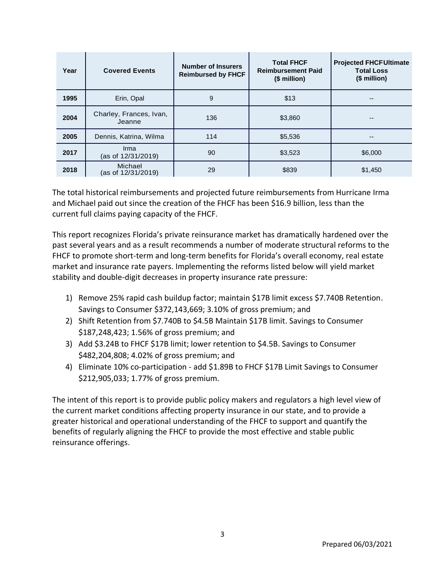| Year     | <b>Covered Events</b>                                                                                                                                                                                                                                                                                                                                                                                                                                                                                                                                                                                                                                                                                                                                                                                                                                                                                                                                                                                                                                                                                                                                                                                                                                                                                                                                                                                                                                                                                                                                                                                                                                                                                     | <b>Number of Insurers</b><br><b>Reimbursed by FHCF</b> | <b>Total FHCF</b><br><b>Reimbursement Paid</b><br>(\$ million) | <b>Projected FHCFUltimate</b><br><b>Total Loss</b><br>(\$ million) |
|----------|-----------------------------------------------------------------------------------------------------------------------------------------------------------------------------------------------------------------------------------------------------------------------------------------------------------------------------------------------------------------------------------------------------------------------------------------------------------------------------------------------------------------------------------------------------------------------------------------------------------------------------------------------------------------------------------------------------------------------------------------------------------------------------------------------------------------------------------------------------------------------------------------------------------------------------------------------------------------------------------------------------------------------------------------------------------------------------------------------------------------------------------------------------------------------------------------------------------------------------------------------------------------------------------------------------------------------------------------------------------------------------------------------------------------------------------------------------------------------------------------------------------------------------------------------------------------------------------------------------------------------------------------------------------------------------------------------------------|--------------------------------------------------------|----------------------------------------------------------------|--------------------------------------------------------------------|
| 1995     | Erin, Opal                                                                                                                                                                                                                                                                                                                                                                                                                                                                                                                                                                                                                                                                                                                                                                                                                                                                                                                                                                                                                                                                                                                                                                                                                                                                                                                                                                                                                                                                                                                                                                                                                                                                                                | 9                                                      | \$13                                                           |                                                                    |
| 2004     | Charley, Frances, Ivan,<br>Jeanne                                                                                                                                                                                                                                                                                                                                                                                                                                                                                                                                                                                                                                                                                                                                                                                                                                                                                                                                                                                                                                                                                                                                                                                                                                                                                                                                                                                                                                                                                                                                                                                                                                                                         | 136                                                    | \$3,860                                                        |                                                                    |
| 2005     | Dennis, Katrina, Wilma                                                                                                                                                                                                                                                                                                                                                                                                                                                                                                                                                                                                                                                                                                                                                                                                                                                                                                                                                                                                                                                                                                                                                                                                                                                                                                                                                                                                                                                                                                                                                                                                                                                                                    | 114                                                    | \$5,536                                                        |                                                                    |
| 2017     | Irma<br>(as of 12/31/2019)                                                                                                                                                                                                                                                                                                                                                                                                                                                                                                                                                                                                                                                                                                                                                                                                                                                                                                                                                                                                                                                                                                                                                                                                                                                                                                                                                                                                                                                                                                                                                                                                                                                                                | 90                                                     | \$3,523                                                        | \$6,000                                                            |
| 2018     | Michael<br>(as of 12/31/2019)                                                                                                                                                                                                                                                                                                                                                                                                                                                                                                                                                                                                                                                                                                                                                                                                                                                                                                                                                                                                                                                                                                                                                                                                                                                                                                                                                                                                                                                                                                                                                                                                                                                                             | 29                                                     | \$839                                                          | \$1,450                                                            |
| 1)<br>4) | The total historical reimbursements and projected future reimbursements from Hurricane Irma<br>and Michael paid out since the creation of the FHCF has been \$16.9 billion, less than the<br>urrent full claims paying capacity of the FHCF.<br>his report recognizes Florida's private reinsurance market has dramatically hardened over the<br>ast several years and as a result recommends a number of moderate structural reforms to the<br>HCF to promote short-term and long-term benefits for Florida's overall economy, real estate<br>narket and insurance rate payers. Implementing the reforms listed below will yield market<br>tability and double-digit decreases in property insurance rate pressure:<br>Remove 25% rapid cash buildup factor; maintain \$17B limit excess \$7.740B Retention.<br>Savings to Consumer \$372,143,669; 3.10% of gross premium; and<br>2) Shift Retention from \$7.740B to \$4.5B Maintain \$17B limit. Savings to Consumer<br>\$187,248,423; 1.56% of gross premium; and<br>3) Add \$3.24B to FHCF \$17B limit; lower retention to \$4.5B. Savings to Consumer<br>\$482,204,808; 4.02% of gross premium; and<br>Eliminate 10% co-participation - add \$1.89B to FHCF \$17B Limit Savings to Consumer<br>\$212,905,033; 1.77% of gross premium.<br>The intent of this report is to provide public policy makers and regulators a high level view of<br>he current market conditions affecting property insurance in our state, and to provide a<br>reater historical and operational understanding of the FHCF to support and quantify the<br>enefits of regularly aligning the FHCF to provide the most effective and stable public<br>einsurance offerings. |                                                        |                                                                |                                                                    |
|          |                                                                                                                                                                                                                                                                                                                                                                                                                                                                                                                                                                                                                                                                                                                                                                                                                                                                                                                                                                                                                                                                                                                                                                                                                                                                                                                                                                                                                                                                                                                                                                                                                                                                                                           |                                                        |                                                                |                                                                    |
|          |                                                                                                                                                                                                                                                                                                                                                                                                                                                                                                                                                                                                                                                                                                                                                                                                                                                                                                                                                                                                                                                                                                                                                                                                                                                                                                                                                                                                                                                                                                                                                                                                                                                                                                           |                                                        |                                                                |                                                                    |
|          |                                                                                                                                                                                                                                                                                                                                                                                                                                                                                                                                                                                                                                                                                                                                                                                                                                                                                                                                                                                                                                                                                                                                                                                                                                                                                                                                                                                                                                                                                                                                                                                                                                                                                                           | 3                                                      |                                                                |                                                                    |

- 1) Remove 25% rapid cash buildup factor; maintain \$17B limit excess \$7.740B Retention. Savings to Consumer \$372,143,669; 3.10% of gross premium; and
- 2) Shift Retention from \$7.740B to \$4.5B Maintain \$17B limit. Savings to Consumer \$187,248,423; 1.56% of gross premium; and
- 3) Add \$3.24B to FHCF \$17B limit; lower retention to \$4.5B. Savings to Consumer \$482,204,808; 4.02% of gross premium; and
- 4) Eliminate 10% co-participation add \$1.89B to FHCF \$17B Limit Savings to Consumer \$212,905,033; 1.77% of gross premium.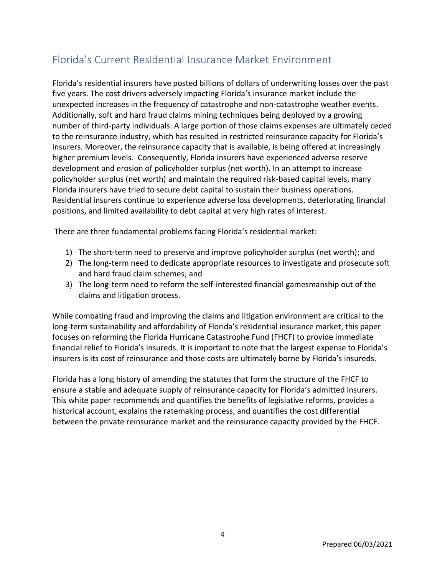<span id="page-4-0"></span>Florida's Current Residential Insurance Market Environment<br>Florida's residential insurers have posted billions of dollars of underwriting loss<br>the years. The cost drivers adversely impacting Florida's insurance market incl Florida's residential insurers have posted billions of dollars of underwriting losses over the past five years. The cost drivers adversely impacting Florida's insurance market include the unexpected increases in the frequency of catastrophe and non-catastrophe weather events. Additionally, soft and hard fraud claims mining techniques being deployed by a growing number of third-party individuals. A large portion of those claims expenses are ultimately ceded to the reinsurance industry, which has resulted in restricted reinsurance capacity for Florida's insurers. Moreover, the reinsurance capacity that is available, is being offered at increasingly higher premium levels. Consequently, Florida insurers have experienced adverse reserve development and erosion of policyholder surplus (net worth). In an attempt to increase policyholder surplus (net worth) and maintain the required risk-based capital levels, many Florida insurers have tried to secure debt capital to sustain their business operations. Residential insurers continue to experience adverse loss developments, deteriorating financial positions, and limited availability to debt capital at very high rates of interest.

There are three fundamental problems facing Florida's residential market:

- 1) The short-term need to preserve and improve policyholder surplus (net worth); and
- 2) The long-term need to dedicate appropriate resources to investigate and prosecute soft and hard fraud claim schemes; and
- 3) The long-term need to reform the self-interested financial gamesmanship out of the claims and litigation process.

While combating fraud and improving the claims and litigation environment are critical to the long-term sustainability and affordability of Florida's residential insurance market, this paper focuses on reforming the Florida Hurricane Catastrophe Fund (FHCF) to provide immediate financial relief to Florida's insureds. It is important to note that the largest expense to Florida's insurers is its cost of reinsurance and those costs are ultimately borne by Florida's insureds.

Florida has a long history of amending the statutes that form the structure of the FHCF to ensure a stable and adequate supply of reinsurance capacity for Florida's admitted insurers. This white paper recommends and quantifies the benefits of legislative reforms, provides a historical account, explains the ratemaking process, and quantifies the cost differential between the private reinsurance market and the reinsurance capacity provided by the FHCF.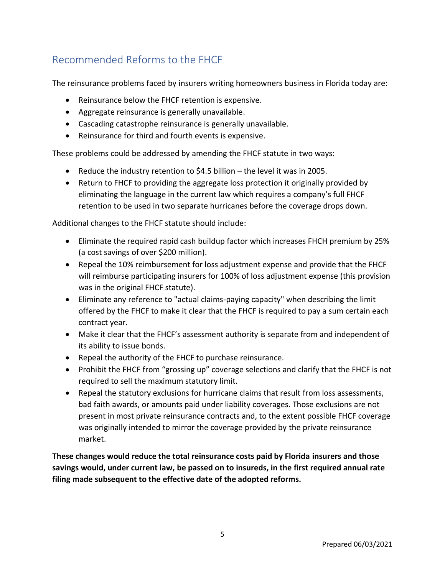The reinsurance problems faced by insurers writing homeowners business in Florida today are:

- Reinsurance below the FHCF retention is expensive.
- Aggregate reinsurance is generally unavailable.
- Cascading catastrophe reinsurance is generally unavailable.
- Reinsurance for third and fourth events is expensive.

These problems could be addressed by amending the FHCF statute in two ways:

- Reduce the industry retention to \$4.5 billion the level it was in 2005.
- Return to FHCF to providing the aggregate loss protection it originally provided by eliminating the language in the current law which requires a company's full FHCF retention to be used in two separate hurricanes before the coverage drops down.

Additional changes to the FHCF statute should include:

- Eliminate the required rapid cash buildup factor which increases FHCH premium by 25% (a cost savings of over \$200 million).
- Repeal the 10% reimbursement for loss adjustment expense and provide that the FHCF will reimburse participating insurers for 100% of loss adjustment expense (this provision was in the original FHCF statute).
- Eliminate any reference to "actual claims-paying capacity" when describing the limit offered by the FHCF to make it clear that the FHCF is required to pay a sum certain each contract year.
- Make it clear that the FHCF's assessment authority is separate from and independent of its ability to issue bonds.
- Repeal the authority of the FHCF to purchase reinsurance.
- Prohibit the FHCF from "grossing up" coverage selections and clarify that the FHCF is not required to sell the maximum statutory limit.
- <span id="page-5-0"></span>Recommended Reforms to the FHCF<br>
The reinsurance problems faced by insurers write<br>
Reinsurance below the FHCF retention is<br>  $\bullet$  Reinsurance below the FHCF retention is<br>  $\bullet$  Reinsurance for third and fourth events is gene • Repeal the statutory exclusions for hurricane claims that result from loss assessments, bad faith awards, or amounts paid under liability coverages. Those exclusions are not present in most private reinsurance contracts and, to the extent possible FHCF coverage was originally intended to mirror the coverage provided by the private reinsurance market.

**These changes would reduce the total reinsurance costs paid by Florida insurers and those savings would, under current law, be passed on to insureds, in the first required annual rate filing made subsequent to the effective date of the adopted reforms.**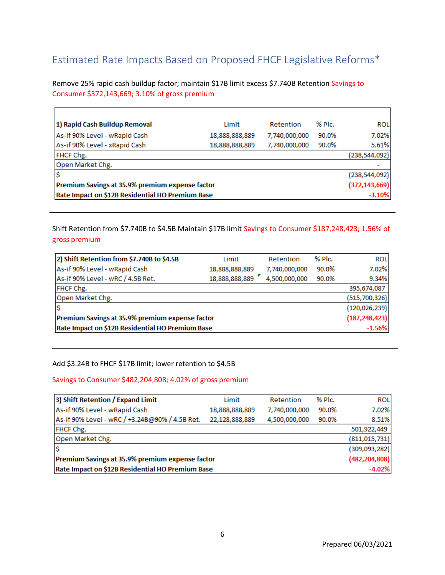<span id="page-6-0"></span>

| 1) Rapid Cash Buildup Removal                                                                                                                                                                                                                                      | Limit          | Retention     | % Plc. | <b>ROL</b>                     |
|--------------------------------------------------------------------------------------------------------------------------------------------------------------------------------------------------------------------------------------------------------------------|----------------|---------------|--------|--------------------------------|
| As-if 90% Level - wRapid Cash                                                                                                                                                                                                                                      | 18,888,888,889 | 7,740,000,000 | 90.0%  | 7.02%                          |
| As-if 90% Level - xRapid Cash                                                                                                                                                                                                                                      | 18,888,888,889 | 7,740,000,000 | 90.0%  | 5.61%                          |
| FHCF Chg.                                                                                                                                                                                                                                                          |                |               |        | (238, 544, 092)                |
| Open Market Chg.                                                                                                                                                                                                                                                   |                |               |        |                                |
|                                                                                                                                                                                                                                                                    |                |               |        | (238, 544, 092)                |
| Premium Savings at 35.9% premium expense factor<br>Rate Impact on \$12B Residential HO Premium Base                                                                                                                                                                |                |               |        | (372, 143, 669)<br>$-3.10%$    |
|                                                                                                                                                                                                                                                                    |                |               |        |                                |
| Shift Retention from \$7.740B to \$4.5B Maintain \$17B limit Savings to Consumer \$187,248,423; 1.56% of                                                                                                                                                           |                |               |        |                                |
| gross premium                                                                                                                                                                                                                                                      |                |               |        |                                |
| 2) Shift Retention from \$7.740B to \$4.5B                                                                                                                                                                                                                         | Limit          | Retention     | % Plc. | <b>ROL</b>                     |
| As-if 90% Level - wRapid Cash                                                                                                                                                                                                                                      | 18,888,888,889 | 7,740,000,000 | 90.0%  | 7.02%                          |
| As-if 90% Level - wRC / 4.5B Ret.<br>FHCF Chg.                                                                                                                                                                                                                     | 18,888,888,889 | 4,500,000,000 | 90.0%  | 9.34%<br>395,674,087           |
| Open Market Chg.                                                                                                                                                                                                                                                   |                |               |        | (515, 700, 326)                |
| \$                                                                                                                                                                                                                                                                 |                |               |        | (120, 026, 239)                |
| Premium Savings at 35.9% premium expense factor                                                                                                                                                                                                                    |                |               |        | (187, 248, 423)                |
| Rate Impact on \$12B Residential HO Premium Base                                                                                                                                                                                                                   |                |               |        | $-1.56%$                       |
|                                                                                                                                                                                                                                                                    |                |               |        |                                |
| Add \$3.24B to FHCF \$17B limit; lower retention to \$4.5B<br>Savings to Consumer \$482,204,808; 4.02% of gross premium                                                                                                                                            |                |               |        |                                |
|                                                                                                                                                                                                                                                                    | Limit          | Retention     | % Plc. | <b>ROL</b>                     |
|                                                                                                                                                                                                                                                                    | 18,888,888,889 | 7,740,000,000 | 90.0%  | 7.02%                          |
|                                                                                                                                                                                                                                                                    | 22,128,888,889 | 4,500,000,000 | 90.0%  | 8.51%                          |
|                                                                                                                                                                                                                                                                    |                |               |        |                                |
|                                                                                                                                                                                                                                                                    |                |               |        | 501,922,449<br>(811, 015, 731) |
|                                                                                                                                                                                                                                                                    |                |               |        | (309,093,282)                  |
| 3) Shift Retention / Expand Limit<br>As-if 90% Level - wRapid Cash<br>As-if 90% Level - wRC / +3.24B@90% / 4.5B Ret.<br>FHCF Chg.<br>Open Market Chg.<br>\$<br>Premium Savings at 35.9% premium expense factor<br>Rate Impact on \$12B Residential HO Premium Base |                |               |        | (482, 204, 808)<br>$-4.02%$    |

| 2) Shift Retention from \$7.740B to \$4.5B       | Limit          | Retention     | % Plc. | <b>ROL</b>      |
|--------------------------------------------------|----------------|---------------|--------|-----------------|
| As-if 90% Level - wRapid Cash                    | 18,888,888,889 | 7,740,000,000 | 90.0%  | 7.02%           |
| As-if 90% Level - wRC / 4.5B Ret.                | 18,888,888,889 | 4,500,000,000 | 90.0%  | 9.34%           |
| FHCF Chg.                                        |                |               |        | 395,674,087     |
| Open Market Chg.                                 |                |               |        | (515, 700, 326) |
|                                                  |                |               |        | (120, 026, 239) |
| Premium Savings at 35.9% premium expense factor  |                |               |        | (187, 248, 423) |
| Rate Impact on \$12B Residential HO Premium Base |                |               |        | $-1.56%$        |

### Add \$3.24B to FHCF \$17B limit; lower retention to \$4.5B

### Savings to Consumer \$482,204,808; 4.02% of gross premium

| 3) Shift Retention / Expand Limit                | Limit          | Retention     | % Plc. | <b>ROL</b>      |
|--------------------------------------------------|----------------|---------------|--------|-----------------|
| As-if 90% Level - wRapid Cash                    | 18,888,888,889 | 7,740,000,000 | 90.0%  | 7.02%           |
| As-if 90% Level - wRC / +3.24B@90% / 4.5B Ret.   | 22,128,888,889 | 4,500,000,000 | 90.0%  | 8.51%           |
| FHCF Chg.                                        |                |               |        | 501,922,449     |
| Open Market Chg.                                 |                |               |        | (811, 015, 731) |
|                                                  |                |               |        | (309,093,282)   |
| Premium Savings at 35.9% premium expense factor  |                |               |        | (482, 204, 808) |
| Rate Impact on \$12B Residential HO Premium Base |                |               |        | $-4.02%$        |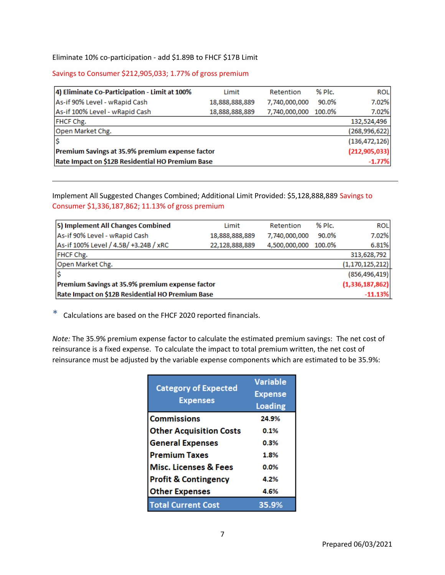### Savings to Consumer \$212,905,033; 1.77% of gross premium

| 4) Eliminate Co-Participation - Limit at 100%                                                                                                                                                                                                                                                                    |                                  | Limit          | Retention               | % Plc. | <b>ROL</b>                   |
|------------------------------------------------------------------------------------------------------------------------------------------------------------------------------------------------------------------------------------------------------------------------------------------------------------------|----------------------------------|----------------|-------------------------|--------|------------------------------|
| As-if 90% Level - wRapid Cash                                                                                                                                                                                                                                                                                    |                                  | 18,888,888,889 | 7,740,000,000           | 90.0%  | 7.02%                        |
| As-if 100% Level - wRapid Cash                                                                                                                                                                                                                                                                                   |                                  | 18,888,888,889 | 7,740,000,000           | 100.0% | 7.02%                        |
| FHCF Chg.                                                                                                                                                                                                                                                                                                        |                                  |                |                         |        | 132,524,496                  |
| Open Market Chg.                                                                                                                                                                                                                                                                                                 |                                  |                |                         |        | (268,996,622)                |
|                                                                                                                                                                                                                                                                                                                  |                                  |                |                         |        | (136, 472, 126)              |
| Premium Savings at 35.9% premium expense factor<br>Rate Impact on \$12B Residential HO Premium Base                                                                                                                                                                                                              |                                  |                |                         |        | (212, 905, 033)<br>$-1.77%$  |
|                                                                                                                                                                                                                                                                                                                  |                                  |                |                         |        |                              |
| Implement All Suggested Changes Combined; Additional Limit Provided: \$5,128,888,889 Savings to<br>Consumer \$1,336,187,862; 11.13% of gross premium                                                                                                                                                             |                                  |                |                         |        |                              |
|                                                                                                                                                                                                                                                                                                                  |                                  |                |                         |        |                              |
| 5) Implement All Changes Combined                                                                                                                                                                                                                                                                                |                                  | Limit          | Retention               | % Plc. | <b>ROL</b>                   |
| As-if 90% Level - wRapid Cash                                                                                                                                                                                                                                                                                    |                                  | 18,888,888,889 | 7,740,000,000           | 90.0%  | 7.02%                        |
| As-if 100% Level / 4.5B/ +3.24B / xRC                                                                                                                                                                                                                                                                            |                                  | 22,128,888,889 | 4,500,000,000           | 100.0% | 6.81%                        |
| FHCF Chg.                                                                                                                                                                                                                                                                                                        |                                  |                |                         |        | 313,628,792                  |
| Open Market Chg.<br>Ś                                                                                                                                                                                                                                                                                            |                                  |                |                         |        | (1, 170, 125, 212)           |
|                                                                                                                                                                                                                                                                                                                  |                                  |                |                         |        | (856, 496, 419)              |
|                                                                                                                                                                                                                                                                                                                  |                                  |                |                         |        |                              |
| Premium Savings at 35.9% premium expense factor<br>Rate Impact on \$12B Residential HO Premium Base<br>Calculations are based on the FHCF 2020 reported financials.                                                                                                                                              |                                  |                |                         |        | (1,336,187,862)<br>$-11.13%$ |
|                                                                                                                                                                                                                                                                                                                  |                                  |                |                         |        |                              |
|                                                                                                                                                                                                                                                                                                                  |                                  |                | <b>Variable</b>         |        |                              |
|                                                                                                                                                                                                                                                                                                                  | <b>Category of Expected</b>      |                |                         |        |                              |
|                                                                                                                                                                                                                                                                                                                  | <b>Expenses</b>                  |                | <b>Expense</b>          |        |                              |
|                                                                                                                                                                                                                                                                                                                  | <b>Commissions</b>               |                | <b>Loading</b><br>24.9% |        |                              |
|                                                                                                                                                                                                                                                                                                                  | <b>Other Acquisition Costs</b>   |                | 0.1%                    |        |                              |
|                                                                                                                                                                                                                                                                                                                  | <b>General Expenses</b>          |                | 0.3%                    |        |                              |
|                                                                                                                                                                                                                                                                                                                  | <b>Premium Taxes</b>             |                | 1.8%                    |        |                              |
|                                                                                                                                                                                                                                                                                                                  | <b>Misc. Licenses &amp; Fees</b> |                | 0.0%                    |        |                              |
| ∗<br>Note: The 35.9% premium expense factor to calculate the estimated premium savings: The net cost of<br>reinsurance is a fixed expense. To calculate the impact to total premium written, the net cost of<br>reinsurance must be adjusted by the variable expense components which are estimated to be 35.9%: | <b>Profit &amp; Contingency</b>  |                | 4.2%                    |        |                              |
|                                                                                                                                                                                                                                                                                                                  | <b>Other Expenses</b>            |                | 4.6%                    |        |                              |

<span id="page-7-0"></span>

| 5) Implement All Changes Combined                | Limit          | Retention     | % Plc. | <b>ROL</b>         |
|--------------------------------------------------|----------------|---------------|--------|--------------------|
| As-if 90% Level - wRapid Cash                    | 18,888,888,889 | 7,740,000,000 | 90.0%  | 7.02%              |
| As-if 100% Level / 4.5B/ +3.24B / xRC            | 22,128,888,889 | 4,500,000,000 | 100.0% | 6.81%              |
| FHCF Chg.                                        |                |               |        | 313,628,792        |
| Open Market Chg.                                 |                |               |        | (1, 170, 125, 212) |
|                                                  |                |               |        | (856, 496, 419)    |
| Premium Savings at 35.9% premium expense factor  |                |               |        | (1,336,187,862)    |
| Rate Impact on \$12B Residential HO Premium Base |                |               |        | $-11.13%$          |

| <b>Category of Expected</b><br><b>Expenses</b> | <b>Variable</b><br><b>Expense</b><br><b>Loading</b> |
|------------------------------------------------|-----------------------------------------------------|
| <b>Commissions</b>                             | 24.9%                                               |
| <b>Other Acquisition Costs</b>                 | 0.1%                                                |
| <b>General Expenses</b>                        | 0.3%                                                |
| <b>Premium Taxes</b>                           | 1.8%                                                |
| <b>Misc. Licenses &amp; Fees</b>               | 0.0%                                                |
| <b>Profit &amp; Contingency</b>                | 4.2%                                                |
| <b>Other Expenses</b>                          | 4.6%                                                |
| <b>Total Current Cost</b>                      | 35.9%                                               |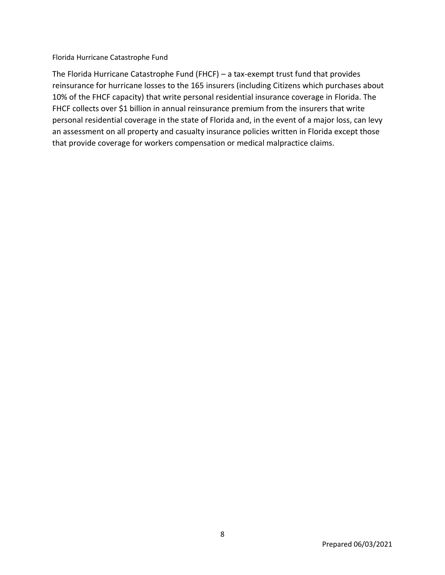Florida Hurricane Catastrophe Fund<br>The Florida Hurricane Catastrophe Fund (FHCF)<br>Teinsurance for hurricane losses to the 165 insur<br>10% of the FHCF capacity) that write personal resions are<br>FHCF collects over \$1 billion in The Florida Hurricane Catastrophe Fund (FHCF) – a tax-exempt trust fund that provides reinsurance for hurricane losses to the 165 insurers (including Citizens which purchases about 10% of the FHCF capacity) that write personal residential insurance coverage in Florida. The FHCF collects over \$1 billion in annual reinsurance premium from the insurers that write personal residential coverage in the state of Florida and, in the event of a major loss, can levy an assessment on all property and casualty insurance policies written in Florida except those that provide coverage for workers compensation or medical malpractice claims.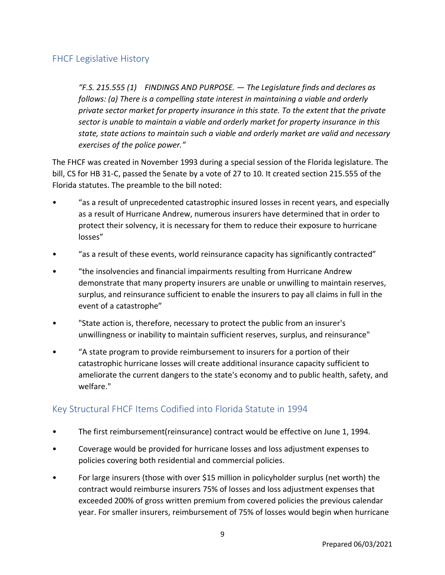<span id="page-9-0"></span>FHCF Legislative History<br>
"F.S. 215.555 (1) FINDINGS AND PURPO<br>
"follows: (a) There is a compelling state in<br>
private sector market for property insurance sector is unable to maintain a viable and<br>
state, state actions to *"F.S. 215.555 (1) FINDINGS AND PURPOSE. — The Legislature finds and declares as follows: (a) There is a compelling state interest in maintaining a viable and orderly private sector market for property insurance in this state. To the extent that the private sector is unable to maintain a viable and orderly market for property insurance in this state, state actions to maintain such a viable and orderly market are valid and necessary exercises of the police power."*

The FHCF was created in November 1993 during a special session of the Florida legislature. The bill, CS for HB 31-C, passed the Senate by a vote of 27 to 10. It created section 215.555 of the Florida statutes. The preamble to the bill noted:

- "as a result of unprecedented catastrophic insured losses in recent years, and especially as a result of Hurricane Andrew, numerous insurers have determined that in order to protect their solvency, it is necessary for them to reduce their exposure to hurricane losses"
- "as a result of these events, world reinsurance capacity has significantly contracted"
- "the insolvencies and financial impairments resulting from Hurricane Andrew demonstrate that many property insurers are unable or unwilling to maintain reserves, surplus, and reinsurance sufficient to enable the insurers to pay all claims in full in the event of a catastrophe"
- "State action is, therefore, necessary to protect the public from an insurer's unwillingness or inability to maintain sufficient reserves, surplus, and reinsurance"
- "A state program to provide reimbursement to insurers for a portion of their catastrophic hurricane losses will create additional insurance capacity sufficient to ameliorate the current dangers to the state's economy and to public health, safety, and welfare."

## <span id="page-9-1"></span>Key Structural FHCF Items Codified into Florida Statute in 1994

- The first reimbursement(reinsurance) contract would be effective on June 1, 1994.
- Coverage would be provided for hurricane losses and loss adjustment expenses to policies covering both residential and commercial policies.
- For large insurers (those with over \$15 million in policyholder surplus (net worth) the contract would reimburse insurers 75% of losses and loss adjustment expenses that exceeded 200% of gross written premium from covered policies the previous calendar year. For smaller insurers, reimbursement of 75% of losses would begin when hurricane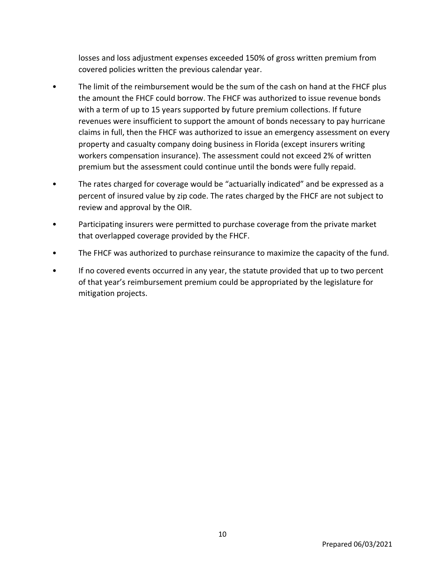losses and loss adjustment expenses exceeded 150% of gross written premium from covered policies written the previous calendar year.

- The limit of the reimbursement would be the sum of the cash on hand at the FHCF plus the amount the FHCF could borrow. The FHCF was authorized to issue revenue bonds with a term of up to 15 years supported by future premium collections. If future revenues were insufficient to support the amount of bonds necessary to pay hurricane claims in full, then the FHCF was authorized to issue an emergency assessment on every property and casualty company doing business in Florida (except insurers writing workers compensation insurance). The assessment could not exceed 2% of written premium but the assessment could continue until the bonds were fully repaid.
- The rates charged for coverage would be "actuarially indicated" and be expressed as a percent of insured value by zip code. The rates charged by the FHCF are not subject to review and approval by the OIR.
- Participating insurers were permitted to purchase coverage from the private market that overlapped coverage provided by the FHCF.
- The FHCF was authorized to purchase reinsurance to maximize the capacity of the fund.
- If no covered events occurred in any year, the statute provided that up to two percent of that year's reimbursement premium could be appropriated by the legislature for mitigation projects.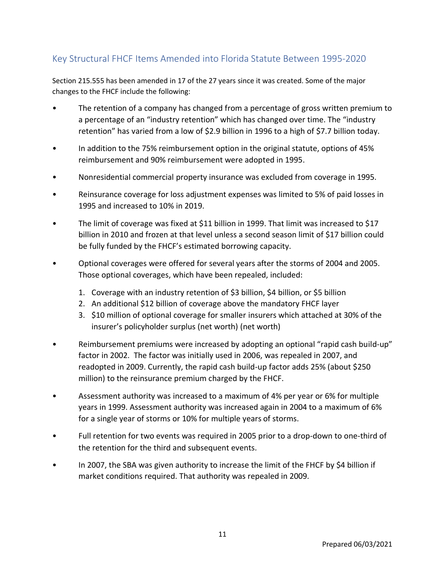## <span id="page-11-0"></span>Key Structural FHCF Items Amended into Florida Statute Between 1995-2020

Section 215.555 has been amended in 17 of the 27 years since it was created. Some of the major changes to the FHCF include the following:

- The retention of a company has changed from a percentage of gross written premium to a percentage of an "industry retention" which has changed over time. The "industry retention" has varied from a low of \$2.9 billion in 1996 to a high of \$7.7 billion today.
- In addition to the 75% reimbursement option in the original statute, options of 45% reimbursement and 90% reimbursement were adopted in 1995.
- Nonresidential commercial property insurance was excluded from coverage in 1995.
- Reinsurance coverage for loss adjustment expenses was limited to 5% of paid losses in 1995 and increased to 10% in 2019.
- The limit of coverage was fixed at \$11 billion in 1999. That limit was increased to \$17 billion in 2010 and frozen at that level unless a second season limit of \$17 billion could be fully funded by the FHCF's estimated borrowing capacity.
- Optional coverages were offered for several years after the storms of 2004 and 2005. Those optional coverages, which have been repealed, included:
	- 1. Coverage with an industry retention of \$3 billion, \$4 billion, or \$5 billion
	- 2. An additional \$12 billion of coverage above the mandatory FHCF layer
	- 3. \$10 million of optional coverage for smaller insurers which attached at 30% of the insurer's policyholder surplus (net worth) (net worth)
- Reimbursement premiums were increased by adopting an optional "rapid cash build-up" factor in 2002. The factor was initially used in 2006, was repealed in 2007, and readopted in 2009. Currently, the rapid cash build-up factor adds 25% (about \$250 million) to the reinsurance premium charged by the FHCF.
- Assessment authority was increased to a maximum of 4% per year or 6% for multiple years in 1999. Assessment authority was increased again in 2004 to a maximum of 6% for a single year of storms or 10% for multiple years of storms.
- Full retention for two events was required in 2005 prior to a drop-down to one-third of the retention for the third and subsequent events.
- In 2007, the SBA was given authority to increase the limit of the FHCF by \$4 billion if market conditions required. That authority was repealed in 2009.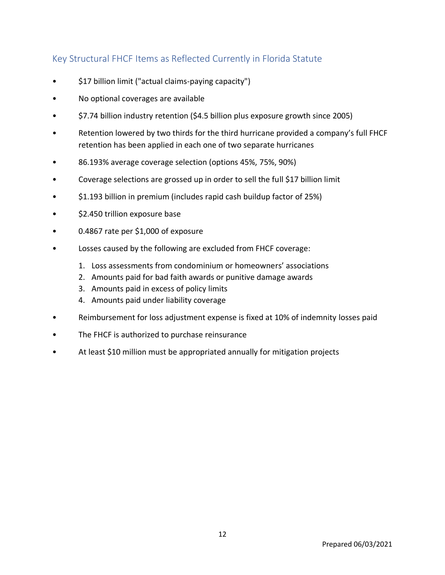## <span id="page-12-0"></span>Key Structural FHCF Items as Reflected Currently in Florida Statute

- \$17 billion limit ("actual claims-paying capacity")
- No optional coverages are available
- \$7.74 billion industry retention (\$4.5 billion plus exposure growth since 2005)
- Retention lowered by two thirds for the third hurricane provided a company's full FHCF retention has been applied in each one of two separate hurricanes
- 86.193% average coverage selection (options 45%, 75%, 90%)
- Coverage selections are grossed up in order to sell the full \$17 billion limit
- \$1.193 billion in premium (includes rapid cash buildup factor of 25%)
- \$2.450 trillion exposure base
- 0.4867 rate per \$1,000 of exposure
- Losses caused by the following are excluded from FHCF coverage:
	- 1. Loss assessments from condominium or homeowners' associations
	- 2. Amounts paid for bad faith awards or punitive damage awards
	- 3. Amounts paid in excess of policy limits
	- 4. Amounts paid under liability coverage
- Reimbursement for loss adjustment expense is fixed at 10% of indemnity losses paid
- The FHCF is authorized to purchase reinsurance
- At least \$10 million must be appropriated annually for mitigation projects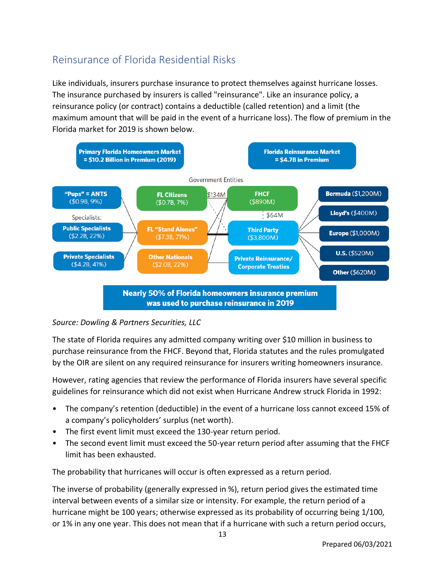## <span id="page-13-0"></span>Reinsurance of Florida Residential Risks

Like individuals, insurers purchase insurance to protect themselves against hurricane losses. The insurance purchased by insurers is called "reinsurance". Like an insurance policy, a reinsurance policy (or contract) contains a deductible (called retention) and a limit (the maximum amount that will be paid in the event of a hurricane loss). The flow of premium in the Florida market for 2019 is shown below.



### *Source: Dowling & Partners Securities, LLC*

The state of Florida requires any admitted company writing over \$10 million in business to purchase reinsurance from the FHCF. Beyond that, Florida statutes and the rules promulgated by the OIR are silent on any required reinsurance for insurers writing homeowners insurance.

However, rating agencies that review the performance of Florida insurers have several specific guidelines for reinsurance which did not exist when Hurricane Andrew struck Florida in 1992:

- The company's retention (deductible) in the event of a hurricane loss cannot exceed 15% of a company's policyholders' surplus (net worth).
- The first event limit must exceed the 130-year return period.
- The second event limit must exceed the 50-year return period after assuming that the FHCF limit has been exhausted.

The probability that hurricanes will occur is often expressed as a return period.

The inverse of probability (generally expressed in %), return period gives the estimated time interval between events of a similar size or intensity. For example, the return period of a hurricane might be 100 years; otherwise expressed as its probability of occurring being 1/100, or 1% in any one year. This does not mean that if a hurricane with such a return period occurs,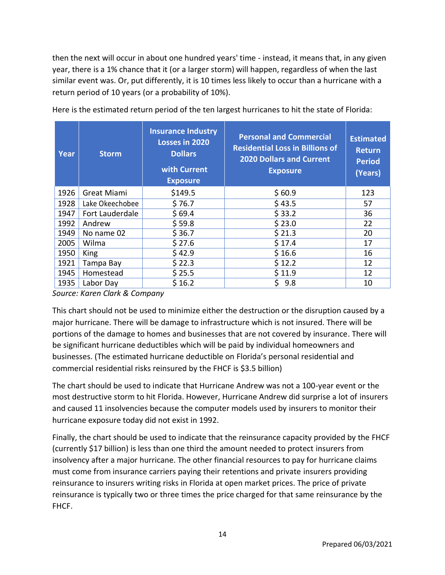then the next will occur in about one hundred years' time - instead, it means that, in any given year, there is a 1% chance that it (or a larger storm) will happen, regardless of when the last similar event was. Or, put differently, it is 10 times less likely to occur than a hurricane with a return period of 10 years (or a probability of 10%).

| Year | <b>Storm</b>    | <b>Insurance Industry</b><br>Losses in 2020<br><b>Dollars</b><br>with Current<br><b>Exposure</b> | <b>Personal and Commercial</b><br><b>Residential Loss in Billions of</b><br><b>2020 Dollars and Current</b><br><b>Exposure</b> | <b>Estimated</b><br><b>Return</b><br><b>Period</b><br>(Years) |
|------|-----------------|--------------------------------------------------------------------------------------------------|--------------------------------------------------------------------------------------------------------------------------------|---------------------------------------------------------------|
| 1926 | Great Miami     | \$149.5                                                                                          | \$60.9                                                                                                                         | 123                                                           |
| 1928 | Lake Okeechobee | \$76.7                                                                                           | \$43.5                                                                                                                         | 57                                                            |
| 1947 | Fort Lauderdale | \$69.4                                                                                           | \$33.2                                                                                                                         | 36                                                            |
| 1992 | Andrew          | \$59.8                                                                                           | \$23.0                                                                                                                         | 22                                                            |
| 1949 | No name 02      | \$36.7                                                                                           | \$21.3                                                                                                                         | 20                                                            |
| 2005 | Wilma           | \$27.6                                                                                           | \$17.4                                                                                                                         | 17                                                            |
| 1950 | King            | \$42.9                                                                                           | \$16.6                                                                                                                         | 16                                                            |
| 1921 | Tampa Bay       | \$22.3                                                                                           | \$12.2                                                                                                                         | 12                                                            |
| 1945 | Homestead       | \$25.5                                                                                           | \$11.9                                                                                                                         | 12                                                            |
| 1935 | Labor Day       | \$16.2                                                                                           | \$<br>9.8                                                                                                                      | 10                                                            |

Here is the estimated return period of the ten largest hurricanes to hit the state of Florida:

*Source: Karen Clark & Company*

This chart should not be used to minimize either the destruction or the disruption caused by a major hurricane. There will be damage to infrastructure which is not insured. There will be portions of the damage to homes and businesses that are not covered by insurance. There will be significant hurricane deductibles which will be paid by individual homeowners and businesses. (The estimated hurricane deductible on Florida's personal residential and commercial residential risks reinsured by the FHCF is \$3.5 billion)

The chart should be used to indicate that Hurricane Andrew was not a 100-year event or the most destructive storm to hit Florida. However, Hurricane Andrew did surprise a lot of insurers and caused 11 insolvencies because the computer models used by insurers to monitor their hurricane exposure today did not exist in 1992.

Finally, the chart should be used to indicate that the reinsurance capacity provided by the FHCF (currently \$17 billion) is less than one third the amount needed to protect insurers from insolvency after a major hurricane. The other financial resources to pay for hurricane claims must come from insurance carriers paying their retentions and private insurers providing reinsurance to insurers writing risks in Florida at open market prices. The price of private reinsurance is typically two or three times the price charged for that same reinsurance by the FHCF.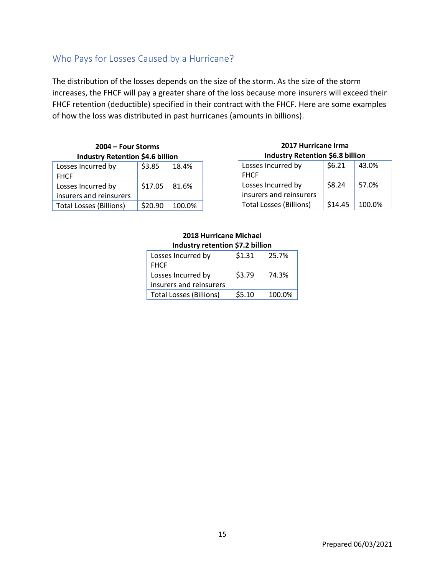## <span id="page-15-0"></span>Who Pays for Losses Caused by a Hurricane?

The distribution of the losses depends on the size of the storm. As the size of the storm increases, the FHCF will pay a greater share of the loss because more insurers will exceed their FHCF retention (deductible) specified in their contract with the FHCF. Here are some examples of how the loss was distributed in past hurricanes (amounts in billions).

| 2004 – Four Storms                      |                  |                                                                |  |  |
|-----------------------------------------|------------------|----------------------------------------------------------------|--|--|
| <b>Industry Retention \$4.6 billion</b> |                  |                                                                |  |  |
| es Incurred hy                          | $\sim$ 22 $\sim$ | $\begin{array}{c} \end{array}$ 1.8 $\overline{A}$ <sup>0</sup> |  |  |

| Losses Incurred by             | \$3.85         | 18.4%  |
|--------------------------------|----------------|--------|
| <b>FHCF</b>                    |                |        |
| Losses Incurred by             | $$17.05$ 81.6% |        |
| insurers and reinsurers        |                |        |
| <b>Total Losses (Billions)</b> | \$20.90        | 100.0% |

### **2017 Hurricane Irma Industry Retention \$6.8 billion**

| Losses Incurred by             | \$6.21  | 43.0%  |
|--------------------------------|---------|--------|
| <b>FHCF</b>                    |         |        |
| Losses Incurred by             | \$8.24  | 57.0%  |
| insurers and reinsurers        |         |        |
| <b>Total Losses (Billions)</b> | \$14.45 | 100.0% |

### **2018 Hurricane Michael Industry retention \$7.2 billion**

| Losses Incurred by             | \$1.31 | 25.7%  |
|--------------------------------|--------|--------|
| <b>FHCF</b>                    |        |        |
| Losses Incurred by             | \$3.79 | 74.3%  |
| insurers and reinsurers        |        |        |
| <b>Total Losses (Billions)</b> | \$5.10 | 100.0% |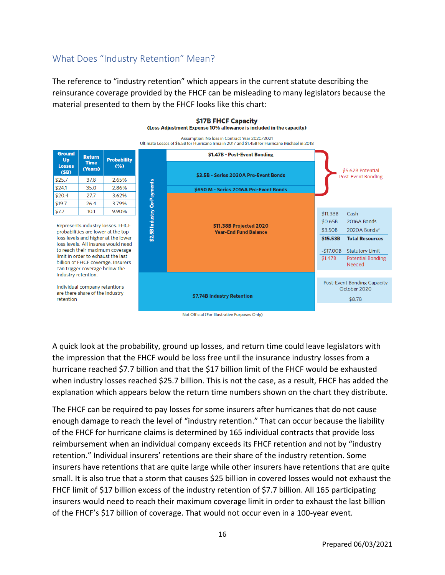## <span id="page-16-0"></span>What Does "Industry Retention" Mean?

 $$7.7$ 

The reference to "industry retention" which appears in the current statute describing the reinsurance coverage provided by the FHCF can be misleading to many legislators because the material presented to them by the FHCF looks like this chart:

#### \$17B FHCF Capacity (Loss Adjustment Expense 10% allowance is included in the capacity)

Assumption: No loss in Contract Year 2020/2021 Ultimate Losses of \$6.5B for Hurricane Irma in 2017 and \$1.45B for Hurricane Michael in 2018



Not Official (For Illustrative Purposes Only)

A quick look at the probability, ground up losses, and return time could leave legislators with the impression that the FHCF would be loss free until the insurance industry losses from a hurricane reached \$7.7 billion and that the \$17 billion limit of the FHCF would be exhausted when industry losses reached \$25.7 billion. This is not the case, as a result, FHCF has added the explanation which appears below the return time numbers shown on the chart they distribute.

The FHCF can be required to pay losses for some insurers after hurricanes that do not cause enough damage to reach the level of "industry retention." That can occur because the liability of the FHCF for hurricane claims is determined by 165 individual contracts that provide loss reimbursement when an individual company exceeds its FHCF retention and not by "industry retention." Individual insurers' retentions are their share of the industry retention. Some insurers have retentions that are quite large while other insurers have retentions that are quite small. It is also true that a storm that causes \$25 billion in covered losses would not exhaust the FHCF limit of \$17 billion excess of the industry retention of \$7.7 billion. All 165 participating insurers would need to reach their maximum coverage limit in order to exhaust the last billion of the FHCF's \$17 billion of coverage. That would not occur even in a 100-year event.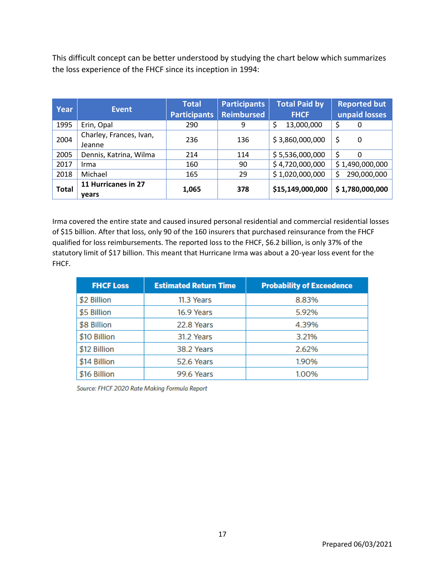This difficult concept can be better understood by studying the chart below which summarizes the loss experience of the FHCF since its inception in 1994:

| <b>Year</b>  | <b>Event</b>                      | <b>Total</b><br><b>Participants</b> | <b>Participants</b><br><b>Reimbursed</b> | <b>Total Paid by</b><br><b>FHCF</b> | <b>Reported but</b><br>unpaid losses |
|--------------|-----------------------------------|-------------------------------------|------------------------------------------|-------------------------------------|--------------------------------------|
| 1995         | Erin, Opal                        | 290                                 | 9                                        | \$<br>13,000,000                    | \$<br>0                              |
| 2004         | Charley, Frances, Ivan,<br>Jeanne | 236                                 | 136                                      | \$3,860,000,000                     | \$<br>0                              |
| 2005         | Dennis, Katrina, Wilma            | 214                                 | 114                                      | \$5,536,000,000                     | $\Omega$                             |
| 2017         | Irma                              | 160                                 | 90                                       | \$4,720,000,000                     | \$1,490,000,000                      |
| 2018         | Michael                           | 165                                 | 29                                       | \$1,020,000,000                     | 290,000,000                          |
| <b>Total</b> | 11 Hurricanes in 27<br>vears      | 1,065                               | 378                                      | \$15,149,000,000                    | \$1,780,000,000                      |

Irma covered the entire state and caused insured personal residential and commercial residential losses of \$15 billion. After that loss, only 90 of the 160 insurers that purchased reinsurance from the FHCF qualified for loss reimbursements. The reported loss to the FHCF, \$6.2 billion, is only 37% of the statutory limit of \$17 billion. This meant that Hurricane Irma was about a 20-year loss event for the FHCF.

| <b>FHCF Loss</b> | <b>Estimated Return Time</b> | <b>Probability of Exceedence</b> |
|------------------|------------------------------|----------------------------------|
| \$2 Billion      | 11.3 Years                   | 8.83%                            |
| \$5 Billion      | 16.9 Years                   | 5.92%                            |
| \$8 Billion      | 22.8 Years                   | 4.39%                            |
| \$10 Billion     | 31.2 Years                   | 3.21%                            |
| \$12 Billion     | 38.2 Years                   | 2.62%                            |
| \$14 Billion     | 52.6 Years                   | 1.90%                            |
| \$16 Billion     | 99.6 Years                   | 1.00%                            |

Source: FHCF 2020 Rate Making Formula Report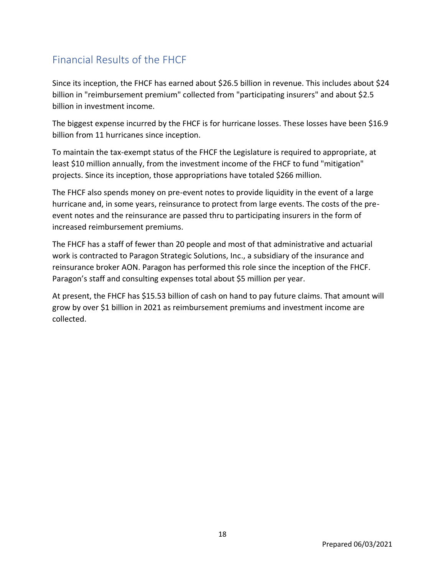## <span id="page-18-0"></span>Financial Results of the FHCF

Since its inception, the FHCF has earned about \$26.5 billion in revenue. This includes about \$24 billion in "reimbursement premium" collected from "participating insurers" and about \$2.5 billion in investment income.

The biggest expense incurred by the FHCF is for hurricane losses. These losses have been \$16.9 billion from 11 hurricanes since inception.

To maintain the tax-exempt status of the FHCF the Legislature is required to appropriate, at least \$10 million annually, from the investment income of the FHCF to fund "mitigation" projects. Since its inception, those appropriations have totaled \$266 million.

The FHCF also spends money on pre-event notes to provide liquidity in the event of a large hurricane and, in some years, reinsurance to protect from large events. The costs of the preevent notes and the reinsurance are passed thru to participating insurers in the form of increased reimbursement premiums.

The FHCF has a staff of fewer than 20 people and most of that administrative and actuarial work is contracted to Paragon Strategic Solutions, Inc., a subsidiary of the insurance and reinsurance broker AON. Paragon has performed this role since the inception of the FHCF. Paragon's staff and consulting expenses total about \$5 million per year.

At present, the FHCF has \$15.53 billion of cash on hand to pay future claims. That amount will grow by over \$1 billion in 2021 as reimbursement premiums and investment income are collected.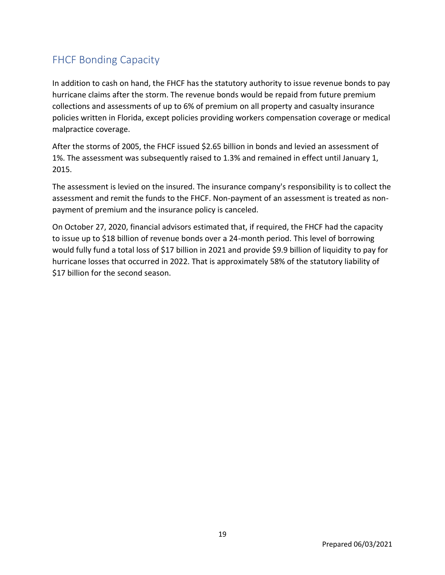## <span id="page-19-0"></span>FHCF Bonding Capacity

In addition to cash on hand, the FHCF has the statutory authority to issue revenue bonds to pay hurricane claims after the storm. The revenue bonds would be repaid from future premium collections and assessments of up to 6% of premium on all property and casualty insurance policies written in Florida, except policies providing workers compensation coverage or medical malpractice coverage.

After the storms of 2005, the FHCF issued \$2.65 billion in bonds and levied an assessment of 1%. The assessment was subsequently raised to 1.3% and remained in effect until January 1, 2015.

The assessment is levied on the insured. The insurance company's responsibility is to collect the assessment and remit the funds to the FHCF. Non-payment of an assessment is treated as nonpayment of premium and the insurance policy is canceled.

On October 27, 2020, financial advisors estimated that, if required, the FHCF had the capacity to issue up to \$18 billion of revenue bonds over a 24-month period. This level of borrowing would fully fund a total loss of \$17 billion in 2021 and provide \$9.9 billion of liquidity to pay for hurricane losses that occurred in 2022. That is approximately 58% of the statutory liability of \$17 billion for the second season.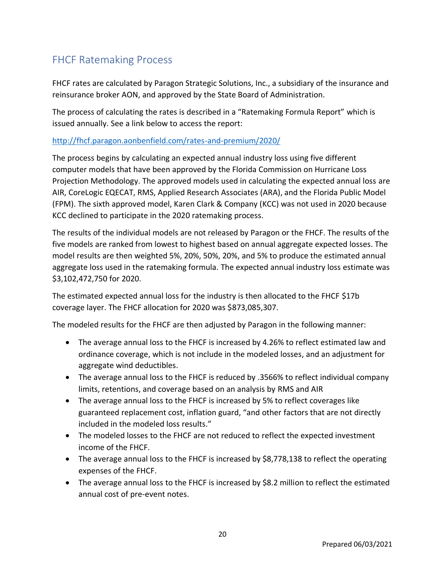## <span id="page-20-0"></span>FHCF Ratemaking Process

FHCF rates are calculated by Paragon Strategic Solutions, Inc., a subsidiary of the insurance and reinsurance broker AON, and approved by the State Board of Administration.

The process of calculating the rates is described in a "Ratemaking Formula Report" which is issued annually. See a link below to access the report:

### [http://fhcf.paragon.aonbenfield.com/rates-and-premium/2020/](about:blank)

The process begins by calculating an expected annual industry loss using five different computer models that have been approved by the Florida Commission on Hurricane Loss Projection Methodology. The approved models used in calculating the expected annual loss are AIR, CoreLogic EQECAT, RMS, Applied Research Associates (ARA), and the Florida Public Model (FPM). The sixth approved model, Karen Clark & Company (KCC) was not used in 2020 because KCC declined to participate in the 2020 ratemaking process.

The results of the individual models are not released by Paragon or the FHCF. The results of the five models are ranked from lowest to highest based on annual aggregate expected losses. The model results are then weighted 5%, 20%, 50%, 20%, and 5% to produce the estimated annual aggregate loss used in the ratemaking formula. The expected annual industry loss estimate was \$3,102,472,750 for 2020.

The estimated expected annual loss for the industry is then allocated to the FHCF \$17b coverage layer. The FHCF allocation for 2020 was \$873,085,307.

The modeled results for the FHCF are then adjusted by Paragon in the following manner:

- The average annual loss to the FHCF is increased by 4.26% to reflect estimated law and ordinance coverage, which is not include in the modeled losses, and an adjustment for aggregate wind deductibles.
- The average annual loss to the FHCF is reduced by .3566% to reflect individual company limits, retentions, and coverage based on an analysis by RMS and AIR
- The average annual loss to the FHCF is increased by 5% to reflect coverages like guaranteed replacement cost, inflation guard, "and other factors that are not directly included in the modeled loss results."
- The modeled losses to the FHCF are not reduced to reflect the expected investment income of the FHCF.
- The average annual loss to the FHCF is increased by \$8,778,138 to reflect the operating expenses of the FHCF.
- The average annual loss to the FHCF is increased by \$8.2 million to reflect the estimated annual cost of pre-event notes.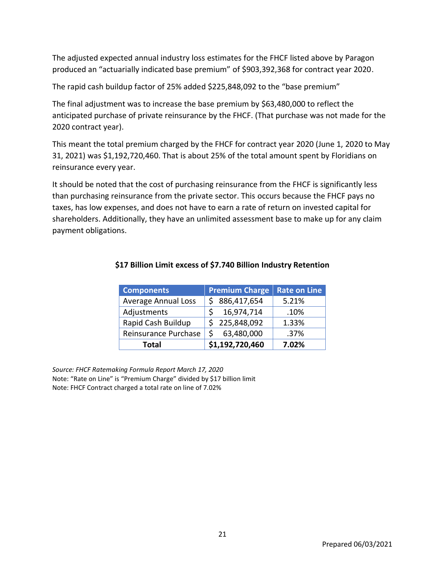The adjusted expected annual industry loss estimates for the FHCF listed above by Paragon produced an "actuarially indicated base premium" of \$903,392,368 for contract year 2020.

The rapid cash buildup factor of 25% added \$225,848,092 to the "base premium"

The final adjustment was to increase the base premium by \$63,480,000 to reflect the anticipated purchase of private reinsurance by the FHCF. (That purchase was not made for the 2020 contract year).

This meant the total premium charged by the FHCF for contract year 2020 (June 1, 2020 to May 31, 2021) was \$1,192,720,460. That is about 25% of the total amount spent by Floridians on reinsurance every year.

It should be noted that the cost of purchasing reinsurance from the FHCF is significantly less than purchasing reinsurance from the private sector. This occurs because the FHCF pays no taxes, has low expenses, and does not have to earn a rate of return on invested capital for shareholders. Additionally, they have an unlimited assessment base to make up for any claim payment obligations.

| <b>Components</b>          | <b>Premium Charge</b> | <b>Rate on Line</b> |
|----------------------------|-----------------------|---------------------|
| <b>Average Annual Loss</b> | \$86,417,654          | 5.21%               |
| Adjustments                | 16,974,714            | .10%                |
| Rapid Cash Buildup         | \$225,848,092         | 1.33%               |
| Reinsurance Purchase       | 63,480,000            | .37%                |
| <b>Total</b>               | \$1,192,720,460       | 7.02%               |

### **\$17 Billion Limit excess of \$7.740 Billion Industry Retention**

*Source: FHCF Ratemaking Formula Report March 17, 2020* Note: "Rate on Line" is "Premium Charge" divided by \$17 billion limit Note: FHCF Contract charged a total rate on line of 7.02%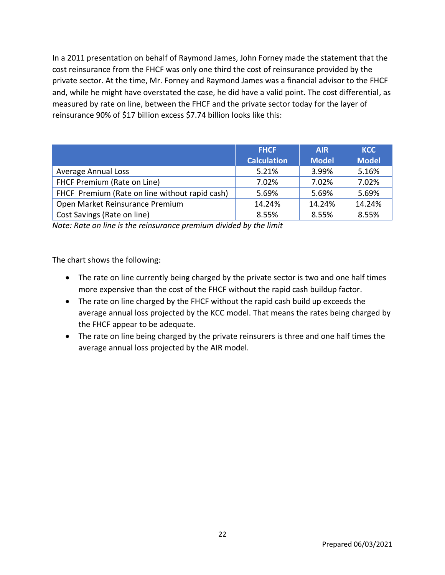In a 2011 presentation on behalf of Raymond James, John Forney made the statement that the cost reinsurance from the FHCF was only one third the cost of reinsurance provided by the private sector. At the time, Mr. Forney and Raymond James was a financial advisor to the FHCF and, while he might have overstated the case, he did have a valid point. The cost differential, as measured by rate on line, between the FHCF and the private sector today for the layer of reinsurance 90% of \$17 billion excess \$7.74 billion looks like this:

|                                                | <b>FHCF</b>        | <b>AIR</b>   | <b>KCC</b>   |
|------------------------------------------------|--------------------|--------------|--------------|
|                                                | <b>Calculation</b> | <b>Model</b> | <b>Model</b> |
| <b>Average Annual Loss</b>                     | 5.21%              | 3.99%        | 5.16%        |
| FHCF Premium (Rate on Line)                    | 7.02%              | 7.02%        | 7.02%        |
| FHCF Premium (Rate on line without rapid cash) | 5.69%              | 5.69%        | 5.69%        |
| Open Market Reinsurance Premium                | 14.24%             | 14.24%       | 14.24%       |
| Cost Savings (Rate on line)                    | 8.55%              | 8.55%        | 8.55%        |

*Note: Rate on line is the reinsurance premium divided by the limit*

The chart shows the following:

- The rate on line currently being charged by the private sector is two and one half times more expensive than the cost of the FHCF without the rapid cash buildup factor.
- The rate on line charged by the FHCF without the rapid cash build up exceeds the average annual loss projected by the KCC model. That means the rates being charged by the FHCF appear to be adequate.
- The rate on line being charged by the private reinsurers is three and one half times the average annual loss projected by the AIR model.